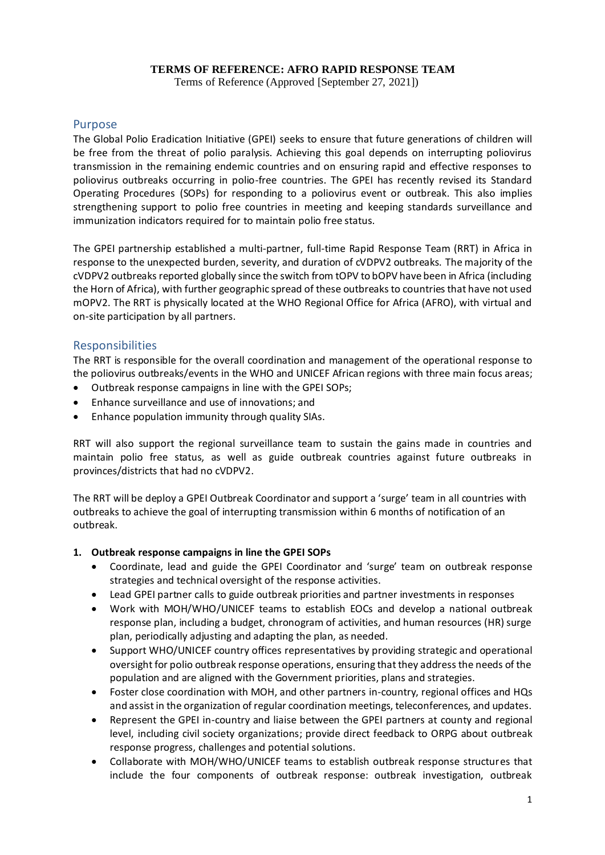### **TERMS OF REFERENCE: AFRO RAPID RESPONSE TEAM**

Terms of Reference (Approved [September 27, 2021])

### Purpose

The Global Polio Eradication Initiative (GPEI) seeks to ensure that future generations of children will be free from the threat of polio paralysis. Achieving this goal depends on interrupting poliovirus transmission in the remaining endemic countries and on ensuring rapid and effective responses to poliovirus outbreaks occurring in polio-free countries. The GPEI has recently revised its Standard Operating Procedures (SOPs) for responding to a poliovirus event or outbreak. This also implies strengthening support to polio free countries in meeting and keeping standards surveillance and immunization indicators required for to maintain polio free status.

The GPEI partnership established a multi-partner, full-time Rapid Response Team (RRT) in Africa in response to the unexpected burden, severity, and duration of cVDPV2 outbreaks. The majority of the cVDPV2 outbreaks reported globally since the switch from tOPV to bOPV have been in Africa (including the Horn of Africa), with further geographic spread of these outbreaks to countries that have not used mOPV2. The RRT is physically located at the WHO Regional Office for Africa (AFRO), with virtual and on-site participation by all partners.

### Responsibilities

The RRT is responsible for the overall coordination and management of the operational response to the poliovirus outbreaks/events in the WHO and UNICEF African regions with three main focus areas;

- Outbreak response campaigns in line with the GPEI SOPs;
- Enhance surveillance and use of innovations; and
- Enhance population immunity through quality SIAs.

RRT will also support the regional surveillance team to sustain the gains made in countries and maintain polio free status, as well as guide outbreak countries against future outbreaks in provinces/districts that had no cVDPV2.

The RRT will be deploy a GPEI Outbreak Coordinator and support a 'surge' team in all countries with outbreaks to achieve the goal of interrupting transmission within 6 months of notification of an outbreak.

#### **1. Outbreak response campaigns in line the GPEI SOPs**

- Coordinate, lead and guide the GPEI Coordinator and 'surge' team on outbreak response strategies and technical oversight of the response activities.
- Lead GPEI partner calls to guide outbreak priorities and partner investments in responses
- Work with MOH/WHO/UNICEF teams to establish EOCs and develop a national outbreak response plan, including a budget, chronogram of activities, and human resources (HR) surge plan, periodically adjusting and adapting the plan, as needed.
- Support WHO/UNICEF country offices representatives by providing strategic and operational oversight for polio outbreak response operations, ensuring that they address the needs of the population and are aligned with the Government priorities, plans and strategies.
- Foster close coordination with MOH, and other partners in-country, regional offices and HQs and assist in the organization of regular coordination meetings, teleconferences, and updates.
- Represent the GPEI in-country and liaise between the GPEI partners at county and regional level, including civil society organizations; provide direct feedback to ORPG about outbreak response progress, challenges and potential solutions.
- Collaborate with MOH/WHO/UNICEF teams to establish outbreak response structures that include the four components of outbreak response: outbreak investigation, outbreak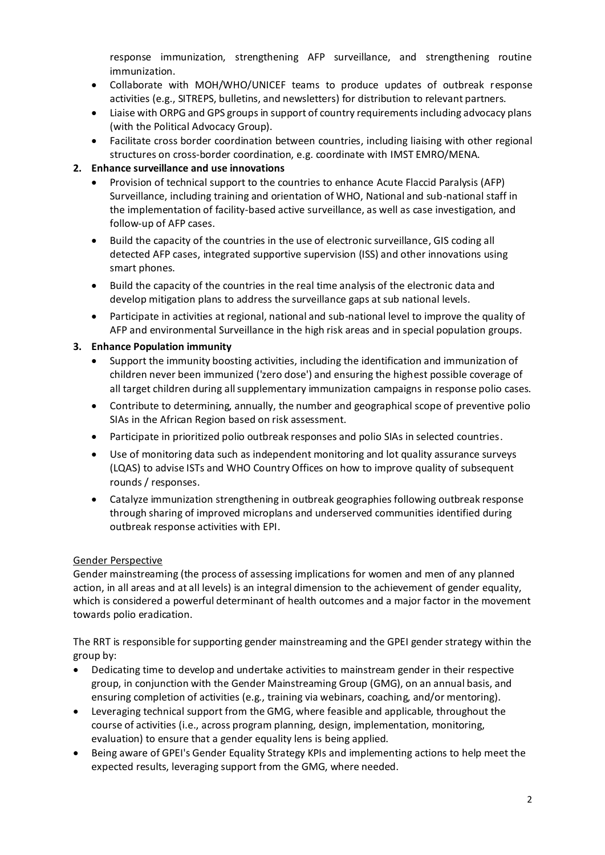response immunization, strengthening AFP surveillance, and strengthening routine immunization.

- Collaborate with MOH/WHO/UNICEF teams to produce updates of outbreak response activities (e.g., SITREPS, bulletins, and newsletters) for distribution to relevant partners.
- Liaise with ORPG and GPS groups in support of country requirements including advocacy plans (with the Political Advocacy Group).
- Facilitate cross border coordination between countries, including liaising with other regional structures on cross-border coordination, e.g. coordinate with IMST EMRO/MENA.

### **2. Enhance surveillance and use innovations**

- Provision of technical support to the countries to enhance Acute Flaccid Paralysis (AFP) Surveillance, including training and orientation of WHO, National and sub-national staff in the implementation of facility-based active surveillance, as well as case investigation, and follow-up of AFP cases.
- Build the capacity of the countries in the use of electronic surveillance, GIS coding all detected AFP cases, integrated supportive supervision (ISS) and other innovations using smart phones.
- Build the capacity of the countries in the real time analysis of the electronic data and develop mitigation plans to address the surveillance gaps at sub national levels.
- Participate in activities at regional, national and sub-national level to improve the quality of AFP and environmental Surveillance in the high risk areas and in special population groups.

### **3. Enhance Population immunity**

- Support the immunity boosting activities, including the identification and immunization of children never been immunized ('zero dose') and ensuring the highest possible coverage of all target children during all supplementary immunization campaigns in response polio cases.
- Contribute to determining, annually, the number and geographical scope of preventive polio SIAs in the African Region based on risk assessment.
- Participate in prioritized polio outbreak responses and polio SIAs in selected countries.
- Use of monitoring data such as independent monitoring and lot quality assurance surveys (LQAS) to advise ISTs and WHO Country Offices on how to improve quality of subsequent rounds / responses.
- Catalyze immunization strengthening in outbreak geographies following outbreak response through sharing of improved microplans and underserved communities identified during outbreak response activities with EPI.

### Gender Perspective

Gender mainstreaming (the process of assessing implications for women and men of any planned action, in all areas and at all levels) is an integral dimension to the achievement of gender equality, which is considered a powerful determinant of health outcomes and a major factor in the movement towards polio eradication.

The RRT is responsible for supporting gender mainstreaming and the GPEI gender strategy within the group by:

- Dedicating time to develop and undertake activities to mainstream gender in their respective group, in conjunction with the Gender Mainstreaming Group (GMG), on an annual basis, and ensuring completion of activities (e.g., training via webinars, coaching, and/or mentoring).
- Leveraging technical support from the GMG, where feasible and applicable, throughout the course of activities (i.e., across program planning, design, implementation, monitoring, evaluation) to ensure that a gender equality lens is being applied.
- Being aware of GPEI's Gender Equality Strategy KPIs and implementing actions to help meet the expected results, leveraging support from the GMG, where needed.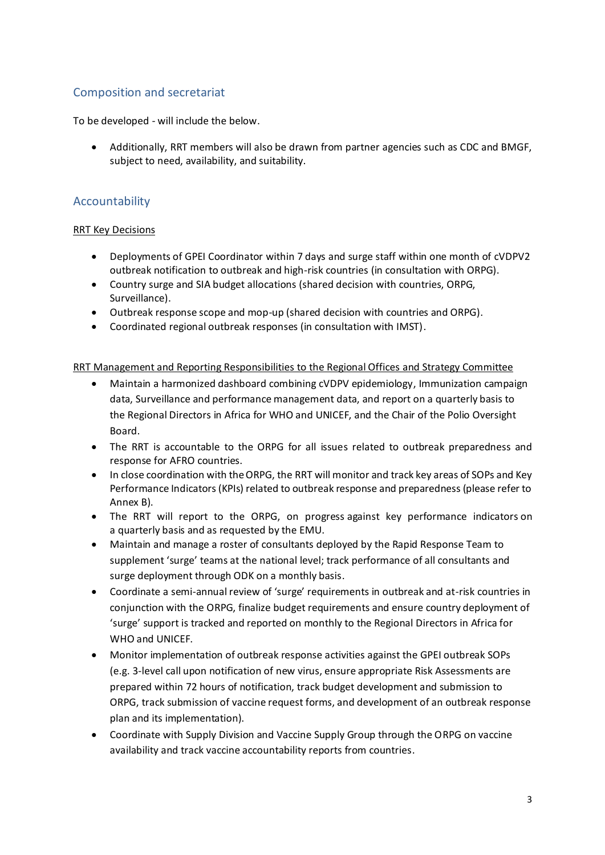# Composition and secretariat

To be developed - will include the below.

• Additionally, RRT members will also be drawn from partner agencies such as CDC and BMGF, subject to need, availability, and suitability.

## Accountability

### RRT Key Decisions

- Deployments of GPEI Coordinator within 7 days and surge staff within one month of cVDPV2 outbreak notification to outbreak and high-risk countries (in consultation with ORPG).
- Country surge and SIA budget allocations (shared decision with countries, ORPG, Surveillance).
- Outbreak response scope and mop-up (shared decision with countries and ORPG).
- Coordinated regional outbreak responses (in consultation with IMST).

### RRT Management and Reporting Responsibilities to the Regional Offices and Strategy Committee

- Maintain a harmonized dashboard combining cVDPV epidemiology, Immunization campaign data, Surveillance and performance management data, and report on a quarterly basis to the Regional Directors in Africa for WHO and UNICEF, and the Chair of the Polio Oversight Board.
- The RRT is accountable to the ORPG for all issues related to outbreak preparedness and response for AFRO countries.
- In close coordination with the ORPG, the RRT will monitor and track key areas of SOPs and Key Performance Indicators (KPIs) related to outbreak response and preparedness (please refer to Annex B).
- The RRT will report to the ORPG, on progress against key performance indicators on a quarterly basis and as requested by the EMU.
- Maintain and manage a roster of consultants deployed by the Rapid Response Team to supplement 'surge' teams at the national level; track performance of all consultants and surge deployment through ODK on a monthly basis.
- Coordinate a semi-annual review of 'surge' requirements in outbreak and at-risk countries in conjunction with the ORPG, finalize budget requirements and ensure country deployment of 'surge' support is tracked and reported on monthly to the Regional Directors in Africa for WHO and UNICEF.
- Monitor implementation of outbreak response activities against the GPEI outbreak SOPs (e.g. 3-level call upon notification of new virus, ensure appropriate Risk Assessments are prepared within 72 hours of notification, track budget development and submission to ORPG, track submission of vaccine request forms, and development of an outbreak response plan and its implementation).
- Coordinate with Supply Division and Vaccine Supply Group through the ORPG on vaccine availability and track vaccine accountability reports from countries.